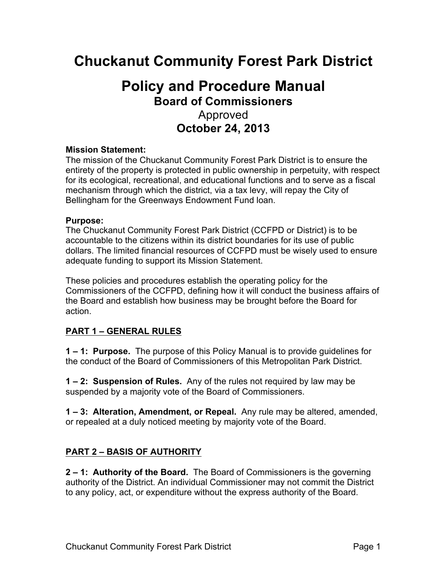# **Chuckanut Community Forest Park District**

## **Policy and Procedure Manual Board of Commissioners** Approved **October 24, 2013**

#### **Mission Statement:**

The mission of the Chuckanut Community Forest Park District is to ensure the entirety of the property is protected in public ownership in perpetuity, with respect for its ecological, recreational, and educational functions and to serve as a fiscal mechanism through which the district, via a tax levy, will repay the City of Bellingham for the Greenways Endowment Fund loan.

#### **Purpose:**

The Chuckanut Community Forest Park District (CCFPD or District) is to be accountable to the citizens within its district boundaries for its use of public dollars. The limited financial resources of CCFPD must be wisely used to ensure adequate funding to support its Mission Statement.

These policies and procedures establish the operating policy for the Commissioners of the CCFPD, defining how it will conduct the business affairs of the Board and establish how business may be brought before the Board for action.

#### **PART 1 – GENERAL RULES**

**1 – 1: Purpose.** The purpose of this Policy Manual is to provide guidelines for the conduct of the Board of Commissioners of this Metropolitan Park District.

**1 – 2: Suspension of Rules.** Any of the rules not required by law may be suspended by a majority vote of the Board of Commissioners.

**1 – 3: Alteration, Amendment, or Repeal.** Any rule may be altered, amended, or repealed at a duly noticed meeting by majority vote of the Board.

#### **PART 2 – BASIS OF AUTHORITY**

**2 – 1: Authority of the Board.** The Board of Commissioners is the governing authority of the District. An individual Commissioner may not commit the District to any policy, act, or expenditure without the express authority of the Board.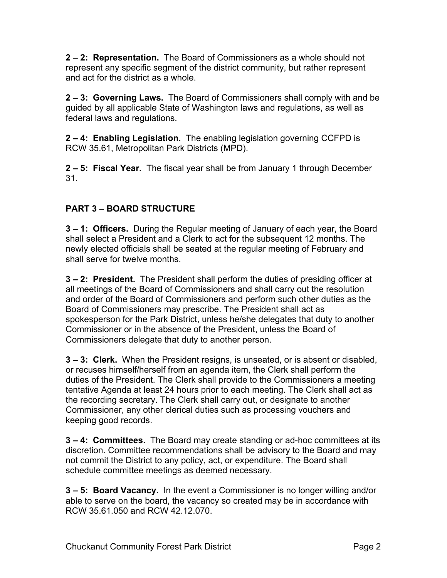**2 – 2: Representation.** The Board of Commissioners as a whole should not represent any specific segment of the district community, but rather represent and act for the district as a whole.

**2 – 3: Governing Laws.** The Board of Commissioners shall comply with and be guided by all applicable State of Washington laws and regulations, as well as federal laws and regulations.

**2 – 4: Enabling Legislation.** The enabling legislation governing CCFPD is RCW 35.61, Metropolitan Park Districts (MPD).

**2 – 5: Fiscal Year.** The fiscal year shall be from January 1 through December 31.

## **PART 3 – BOARD STRUCTURE**

**3 – 1: Officers.** During the Regular meeting of January of each year, the Board shall select a President and a Clerk to act for the subsequent 12 months. The newly elected officials shall be seated at the regular meeting of February and shall serve for twelve months.

**3 – 2: President.** The President shall perform the duties of presiding officer at all meetings of the Board of Commissioners and shall carry out the resolution and order of the Board of Commissioners and perform such other duties as the Board of Commissioners may prescribe. The President shall act as spokesperson for the Park District, unless he/she delegates that duty to another Commissioner or in the absence of the President, unless the Board of Commissioners delegate that duty to another person.

**3 – 3: Clerk.** When the President resigns, is unseated, or is absent or disabled, or recuses himself/herself from an agenda item, the Clerk shall perform the duties of the President. The Clerk shall provide to the Commissioners a meeting tentative Agenda at least 24 hours prior to each meeting. The Clerk shall act as the recording secretary. The Clerk shall carry out, or designate to another Commissioner, any other clerical duties such as processing vouchers and keeping good records.

**3 – 4: Committees.** The Board may create standing or ad-hoc committees at its discretion. Committee recommendations shall be advisory to the Board and may not commit the District to any policy, act, or expenditure. The Board shall schedule committee meetings as deemed necessary.

**3 – 5: Board Vacancy.** In the event a Commissioner is no longer willing and/or able to serve on the board, the vacancy so created may be in accordance with RCW 35.61.050 and RCW 42.12.070.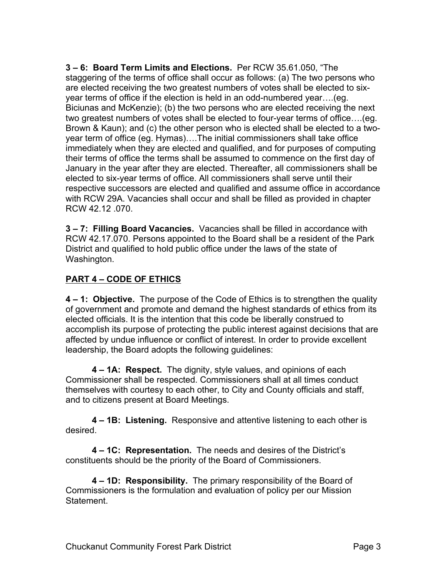**3 – 6: Board Term Limits and Elections.** Per RCW 35.61.050, "The staggering of the terms of office shall occur as follows: (a) The two persons who are elected receiving the two greatest numbers of votes shall be elected to sixyear terms of office if the election is held in an odd-numbered year….(eg. Biciunas and McKenzie); (b) the two persons who are elected receiving the next two greatest numbers of votes shall be elected to four-year terms of office….(eg. Brown & Kaun); and (c) the other person who is elected shall be elected to a twoyear term of office (eg. Hymas)….The initial commissioners shall take office immediately when they are elected and qualified, and for purposes of computing their terms of office the terms shall be assumed to commence on the first day of January in the year after they are elected. Thereafter, all commissioners shall be elected to six-year terms of office. All commissioners shall serve until their respective successors are elected and qualified and assume office in accordance with RCW 29A. Vacancies shall occur and shall be filled as provided in chapter RCW 42.12 .070.

**3 – 7: Filling Board Vacancies.** Vacancies shall be filled in accordance with RCW 42.17.070. Persons appointed to the Board shall be a resident of the Park District and qualified to hold public office under the laws of the state of Washington.

#### **PART 4 – CODE OF ETHICS**

**4 – 1: Objective.** The purpose of the Code of Ethics is to strengthen the quality of government and promote and demand the highest standards of ethics from its elected officials. It is the intention that this code be liberally construed to accomplish its purpose of protecting the public interest against decisions that are affected by undue influence or conflict of interest. In order to provide excellent leadership, the Board adopts the following guidelines:

**4 – 1A: Respect.** The dignity, style values, and opinions of each Commissioner shall be respected. Commissioners shall at all times conduct themselves with courtesy to each other, to City and County officials and staff, and to citizens present at Board Meetings.

**4 – 1B: Listening.** Responsive and attentive listening to each other is desired.

**4 – 1C: Representation.** The needs and desires of the District's constituents should be the priority of the Board of Commissioners.

**4 – 1D: Responsibility.** The primary responsibility of the Board of Commissioners is the formulation and evaluation of policy per our Mission **Statement**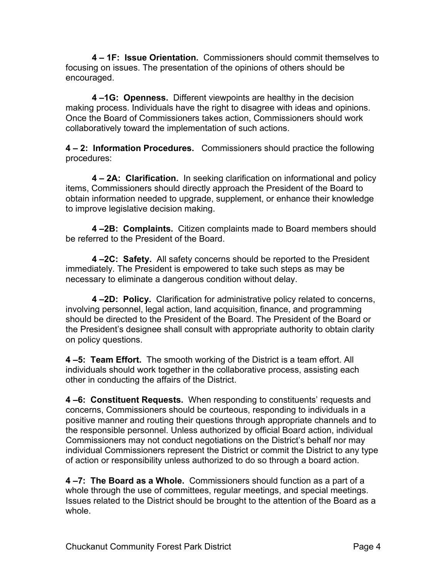**4 – 1F: Issue Orientation.** Commissioners should commit themselves to focusing on issues. The presentation of the opinions of others should be encouraged.

**4 –1G: Openness.** Different viewpoints are healthy in the decision making process. Individuals have the right to disagree with ideas and opinions. Once the Board of Commissioners takes action, Commissioners should work collaboratively toward the implementation of such actions.

**4 – 2: Information Procedures.** Commissioners should practice the following procedures:

**4 – 2A: Clarification.** In seeking clarification on informational and policy items, Commissioners should directly approach the President of the Board to obtain information needed to upgrade, supplement, or enhance their knowledge to improve legislative decision making.

**4 –2B: Complaints.** Citizen complaints made to Board members should be referred to the President of the Board.

**4 –2C: Safety.** All safety concerns should be reported to the President immediately. The President is empowered to take such steps as may be necessary to eliminate a dangerous condition without delay.

**4 –2D: Policy.** Clarification for administrative policy related to concerns, involving personnel, legal action, land acquisition, finance, and programming should be directed to the President of the Board. The President of the Board or the President's designee shall consult with appropriate authority to obtain clarity on policy questions.

**4 –5: Team Effort.** The smooth working of the District is a team effort. All individuals should work together in the collaborative process, assisting each other in conducting the affairs of the District.

**4 –6: Constituent Requests.** When responding to constituents' requests and concerns, Commissioners should be courteous, responding to individuals in a positive manner and routing their questions through appropriate channels and to the responsible personnel. Unless authorized by official Board action, individual Commissioners may not conduct negotiations on the District's behalf nor may individual Commissioners represent the District or commit the District to any type of action or responsibility unless authorized to do so through a board action.

**4 –7: The Board as a Whole.** Commissioners should function as a part of a whole through the use of committees, regular meetings, and special meetings. Issues related to the District should be brought to the attention of the Board as a whole.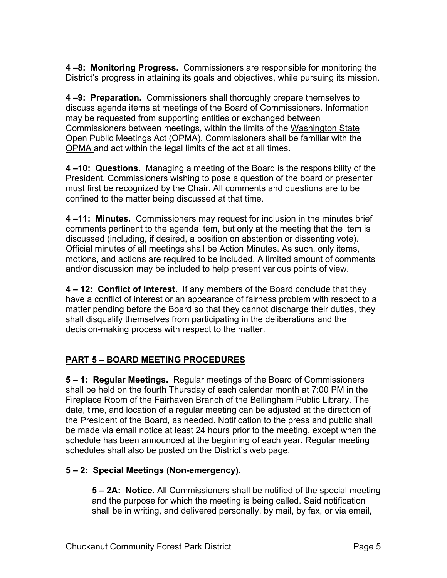**4 –8: Monitoring Progress.** Commissioners are responsible for monitoring the District's progress in attaining its goals and objectives, while pursuing its mission.

**4 –9: Preparation.** Commissioners shall thoroughly prepare themselves to discuss agenda items at meetings of the Board of Commissioners. Information may be requested from supporting entities or exchanged between Commissioners between meetings, within the limits of the Washington State Open Public Meetings Act (OPMA). Commissioners shall be familiar with the OPMA and act within the legal limits of the act at all times.

**4 –10: Questions.** Managing a meeting of the Board is the responsibility of the President. Commissioners wishing to pose a question of the board or presenter must first be recognized by the Chair. All comments and questions are to be confined to the matter being discussed at that time.

**4 –11: Minutes.** Commissioners may request for inclusion in the minutes brief comments pertinent to the agenda item, but only at the meeting that the item is discussed (including, if desired, a position on abstention or dissenting vote). Official minutes of all meetings shall be Action Minutes. As such, only items, motions, and actions are required to be included. A limited amount of comments and/or discussion may be included to help present various points of view.

**4 – 12: Conflict of Interest.** If any members of the Board conclude that they have a conflict of interest or an appearance of fairness problem with respect to a matter pending before the Board so that they cannot discharge their duties, they shall disqualify themselves from participating in the deliberations and the decision-making process with respect to the matter.

## **PART 5 – BOARD MEETING PROCEDURES**

**5 – 1: Regular Meetings.** Regular meetings of the Board of Commissioners shall be held on the fourth Thursday of each calendar month at 7:00 PM in the Fireplace Room of the Fairhaven Branch of the Bellingham Public Library. The date, time, and location of a regular meeting can be adjusted at the direction of the President of the Board, as needed. Notification to the press and public shall be made via email notice at least 24 hours prior to the meeting, except when the schedule has been announced at the beginning of each year. Regular meeting schedules shall also be posted on the District's web page.

## **5 – 2: Special Meetings (Non-emergency).**

**5 – 2A: Notice.** All Commissioners shall be notified of the special meeting and the purpose for which the meeting is being called. Said notification shall be in writing, and delivered personally, by mail, by fax, or via email,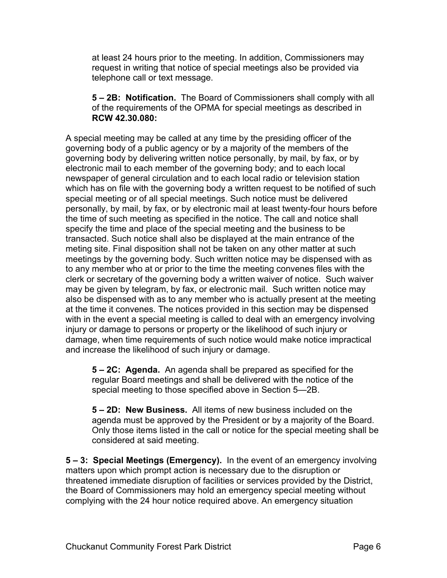at least 24 hours prior to the meeting. In addition, Commissioners may request in writing that notice of special meetings also be provided via telephone call or text message.

**5 – 2B: Notification.** The Board of Commissioners shall comply with all of the requirements of the OPMA for special meetings as described in **RCW 42.30.080:**

A special meeting may be called at any time by the presiding officer of the governing body of a public agency or by a majority of the members of the governing body by delivering written notice personally, by mail, by fax, or by electronic mail to each member of the governing body; and to each local newspaper of general circulation and to each local radio or television station which has on file with the governing body a written request to be notified of such special meeting or of all special meetings. Such notice must be delivered personally, by mail, by fax, or by electronic mail at least twenty-four hours before the time of such meeting as specified in the notice. The call and notice shall specify the time and place of the special meeting and the business to be transacted. Such notice shall also be displayed at the main entrance of the meting site. Final disposition shall not be taken on any other matter at such meetings by the governing body. Such written notice may be dispensed with as to any member who at or prior to the time the meeting convenes files with the clerk or secretary of the governing body a written waiver of notice. Such waiver may be given by telegram, by fax, or electronic mail. Such written notice may also be dispensed with as to any member who is actually present at the meeting at the time it convenes. The notices provided in this section may be dispensed with in the event a special meeting is called to deal with an emergency involving injury or damage to persons or property or the likelihood of such injury or damage, when time requirements of such notice would make notice impractical and increase the likelihood of such injury or damage.

**5 – 2C: Agenda.** An agenda shall be prepared as specified for the regular Board meetings and shall be delivered with the notice of the special meeting to those specified above in Section 5—2B.

**5 – 2D: New Business.** All items of new business included on the agenda must be approved by the President or by a majority of the Board. Only those items listed in the call or notice for the special meeting shall be considered at said meeting.

**5 – 3: Special Meetings (Emergency).** In the event of an emergency involving matters upon which prompt action is necessary due to the disruption or threatened immediate disruption of facilities or services provided by the District, the Board of Commissioners may hold an emergency special meeting without complying with the 24 hour notice required above. An emergency situation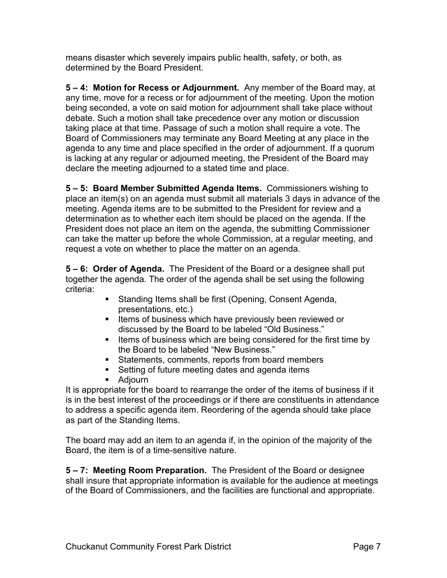means disaster which severely impairs public health, safety, or both, as determined by the Board President.

**5 – 4: Motion for Recess or Adjournment.** Any member of the Board may, at any time, move for a recess or for adjournment of the meeting. Upon the motion being seconded, a vote on said motion for adjournment shall take place without debate. Such a motion shall take precedence over any motion or discussion taking place at that time. Passage of such a motion shall require a vote. The Board of Commissioners may terminate any Board Meeting at any place in the agenda to any time and place specified in the order of adjournment. If a quorum is lacking at any regular or adjourned meeting, the President of the Board may declare the meeting adjourned to a stated time and place.

**5 – 5: Board Member Submitted Agenda Items.** Commissioners wishing to place an item(s) on an agenda must submit all materials 3 days in advance of the meeting. Agenda items are to be submitted to the President for review and a determination as to whether each item should be placed on the agenda. If the President does not place an item on the agenda, the submitting Commissioner can take the matter up before the whole Commission, at a regular meeting, and request a vote on whether to place the matter on an agenda.

**5 – 6: Order of Agenda.** The President of the Board or a designee shall put together the agenda. The order of the agenda shall be set using the following criteria:

- Standing Items shall be first (Opening, Consent Agenda, presentations, etc.)
- Items of business which have previously been reviewed or discussed by the Board to be labeled "Old Business."
- Items of business which are being considered for the first time by the Board to be labeled "New Business."
- Statements, comments, reports from board members
- Setting of future meeting dates and agenda items
- Adjourn

It is appropriate for the board to rearrange the order of the items of business if it is in the best interest of the proceedings or if there are constituents in attendance to address a specific agenda item. Reordering of the agenda should take place as part of the Standing Items.

The board may add an item to an agenda if, in the opinion of the majority of the Board, the item is of a time-sensitive nature.

**5 – 7: Meeting Room Preparation.** The President of the Board or designee shall insure that appropriate information is available for the audience at meetings of the Board of Commissioners, and the facilities are functional and appropriate.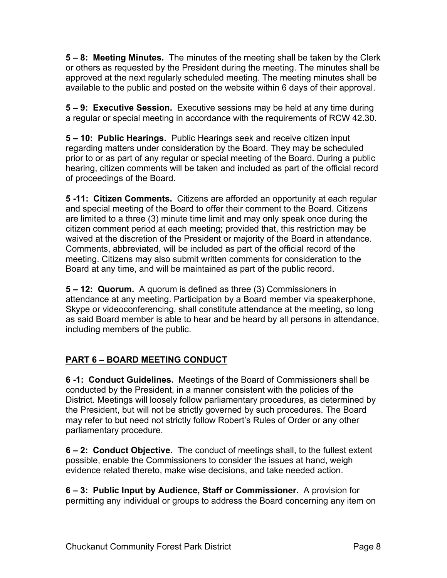**5 – 8: Meeting Minutes.** The minutes of the meeting shall be taken by the Clerk or others as requested by the President during the meeting. The minutes shall be approved at the next regularly scheduled meeting. The meeting minutes shall be available to the public and posted on the website within 6 days of their approval.

**5 – 9: Executive Session.** Executive sessions may be held at any time during a regular or special meeting in accordance with the requirements of RCW 42.30.

**5 – 10: Public Hearings.** Public Hearings seek and receive citizen input regarding matters under consideration by the Board. They may be scheduled prior to or as part of any regular or special meeting of the Board. During a public hearing, citizen comments will be taken and included as part of the official record of proceedings of the Board.

**5 -11: Citizen Comments.** Citizens are afforded an opportunity at each regular and special meeting of the Board to offer their comment to the Board. Citizens are limited to a three (3) minute time limit and may only speak once during the citizen comment period at each meeting; provided that, this restriction may be waived at the discretion of the President or majority of the Board in attendance. Comments, abbreviated, will be included as part of the official record of the meeting. Citizens may also submit written comments for consideration to the Board at any time, and will be maintained as part of the public record.

**5 – 12: Quorum.** A quorum is defined as three (3) Commissioners in attendance at any meeting. Participation by a Board member via speakerphone, Skype or videoconferencing, shall constitute attendance at the meeting, so long as said Board member is able to hear and be heard by all persons in attendance, including members of the public.

## **PART 6 – BOARD MEETING CONDUCT**

**6 -1: Conduct Guidelines.** Meetings of the Board of Commissioners shall be conducted by the President, in a manner consistent with the policies of the District. Meetings will loosely follow parliamentary procedures, as determined by the President, but will not be strictly governed by such procedures. The Board may refer to but need not strictly follow Robert's Rules of Order or any other parliamentary procedure.

**6 – 2: Conduct Objective.** The conduct of meetings shall, to the fullest extent possible, enable the Commissioners to consider the issues at hand, weigh evidence related thereto, make wise decisions, and take needed action.

**6 – 3: Public Input by Audience, Staff or Commissioner.** A provision for permitting any individual or groups to address the Board concerning any item on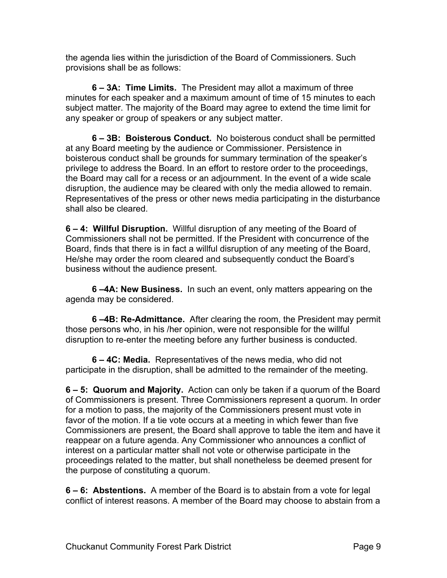the agenda lies within the jurisdiction of the Board of Commissioners. Such provisions shall be as follows:

**6 – 3A: Time Limits.** The President may allot a maximum of three minutes for each speaker and a maximum amount of time of 15 minutes to each subject matter. The majority of the Board may agree to extend the time limit for any speaker or group of speakers or any subject matter.

**6 – 3B: Boisterous Conduct.** No boisterous conduct shall be permitted at any Board meeting by the audience or Commissioner. Persistence in boisterous conduct shall be grounds for summary termination of the speaker's privilege to address the Board. In an effort to restore order to the proceedings, the Board may call for a recess or an adjournment. In the event of a wide scale disruption, the audience may be cleared with only the media allowed to remain. Representatives of the press or other news media participating in the disturbance shall also be cleared.

**6 – 4: Willful Disruption.** Willful disruption of any meeting of the Board of Commissioners shall not be permitted. If the President with concurrence of the Board, finds that there is in fact a willful disruption of any meeting of the Board, He/she may order the room cleared and subsequently conduct the Board's business without the audience present.

**6 –4A: New Business.** In such an event, only matters appearing on the agenda may be considered.

**6 –4B: Re-Admittance.** After clearing the room, the President may permit those persons who, in his /her opinion, were not responsible for the willful disruption to re-enter the meeting before any further business is conducted.

**6 – 4C: Media.** Representatives of the news media, who did not participate in the disruption, shall be admitted to the remainder of the meeting.

**6 – 5: Quorum and Majority.** Action can only be taken if a quorum of the Board of Commissioners is present. Three Commissioners represent a quorum. In order for a motion to pass, the majority of the Commissioners present must vote in favor of the motion. If a tie vote occurs at a meeting in which fewer than five Commissioners are present, the Board shall approve to table the item and have it reappear on a future agenda. Any Commissioner who announces a conflict of interest on a particular matter shall not vote or otherwise participate in the proceedings related to the matter, but shall nonetheless be deemed present for the purpose of constituting a quorum.

**6 – 6: Abstentions.** A member of the Board is to abstain from a vote for legal conflict of interest reasons. A member of the Board may choose to abstain from a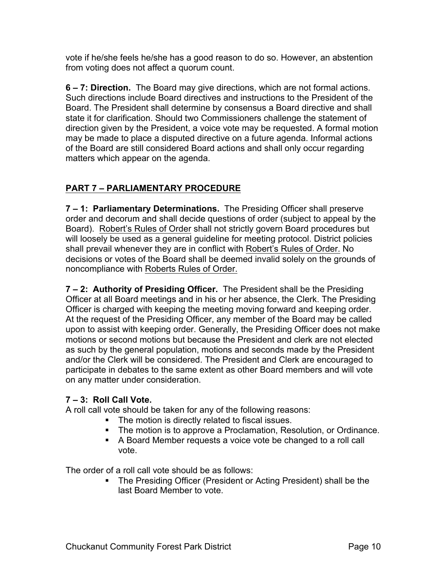vote if he/she feels he/she has a good reason to do so. However, an abstention from voting does not affect a quorum count.

**6 – 7: Direction.** The Board may give directions, which are not formal actions. Such directions include Board directives and instructions to the President of the Board. The President shall determine by consensus a Board directive and shall state it for clarification. Should two Commissioners challenge the statement of direction given by the President, a voice vote may be requested. A formal motion may be made to place a disputed directive on a future agenda. Informal actions of the Board are still considered Board actions and shall only occur regarding matters which appear on the agenda.

## **PART 7 – PARLIAMENTARY PROCEDURE**

**7 – 1: Parliamentary Determinations.** The Presiding Officer shall preserve order and decorum and shall decide questions of order (subject to appeal by the Board). Robert's Rules of Order shall not strictly govern Board procedures but will loosely be used as a general guideline for meeting protocol. District policies shall prevail whenever they are in conflict with Robert's Rules of Order. No decisions or votes of the Board shall be deemed invalid solely on the grounds of noncompliance with Roberts Rules of Order.

**7 – 2: Authority of Presiding Officer.** The President shall be the Presiding Officer at all Board meetings and in his or her absence, the Clerk. The Presiding Officer is charged with keeping the meeting moving forward and keeping order. At the request of the Presiding Officer, any member of the Board may be called upon to assist with keeping order. Generally, the Presiding Officer does not make motions or second motions but because the President and clerk are not elected as such by the general population, motions and seconds made by the President and/or the Clerk will be considered. The President and Clerk are encouraged to participate in debates to the same extent as other Board members and will vote on any matter under consideration.

#### **7 – 3: Roll Call Vote.**

A roll call vote should be taken for any of the following reasons:

- The motion is directly related to fiscal issues.
- The motion is to approve a Proclamation, Resolution, or Ordinance.
- A Board Member requests a voice vote be changed to a roll call vote.

The order of a roll call vote should be as follows:

■ The Presiding Officer (President or Acting President) shall be the last Board Member to vote.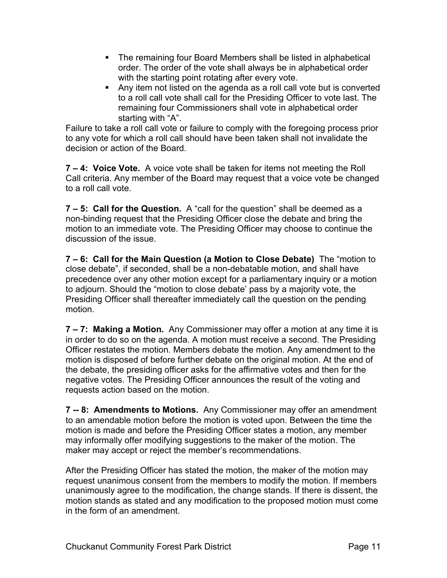- The remaining four Board Members shall be listed in alphabetical order. The order of the vote shall always be in alphabetical order with the starting point rotating after every vote.
- Any item not listed on the agenda as a roll call vote but is converted to a roll call vote shall call for the Presiding Officer to vote last. The remaining four Commissioners shall vote in alphabetical order starting with "A".

Failure to take a roll call vote or failure to comply with the foregoing process prior to any vote for which a roll call should have been taken shall not invalidate the decision or action of the Board.

**7 – 4: Voice Vote.** A voice vote shall be taken for items not meeting the Roll Call criteria. Any member of the Board may request that a voice vote be changed to a roll call vote.

**7 – 5: Call for the Question.** A "call for the question" shall be deemed as a non-binding request that the Presiding Officer close the debate and bring the motion to an immediate vote. The Presiding Officer may choose to continue the discussion of the issue.

**7 – 6: Call for the Main Question (a Motion to Close Debate)** The "motion to close debate", if seconded, shall be a non-debatable motion, and shall have precedence over any other motion except for a parliamentary inquiry or a motion to adjourn. Should the "motion to close debate' pass by a majority vote, the Presiding Officer shall thereafter immediately call the question on the pending motion.

**7 – 7: Making a Motion.** Any Commissioner may offer a motion at any time it is in order to do so on the agenda. A motion must receive a second. The Presiding Officer restates the motion. Members debate the motion. Any amendment to the motion is disposed of before further debate on the original motion. At the end of the debate, the presiding officer asks for the affirmative votes and then for the negative votes. The Presiding Officer announces the result of the voting and requests action based on the motion.

**7 -- 8: Amendments to Motions.** Any Commissioner may offer an amendment to an amendable motion before the motion is voted upon. Between the time the motion is made and before the Presiding Officer states a motion, any member may informally offer modifying suggestions to the maker of the motion. The maker may accept or reject the member's recommendations.

After the Presiding Officer has stated the motion, the maker of the motion may request unanimous consent from the members to modify the motion. If members unanimously agree to the modification, the change stands. If there is dissent, the motion stands as stated and any modification to the proposed motion must come in the form of an amendment.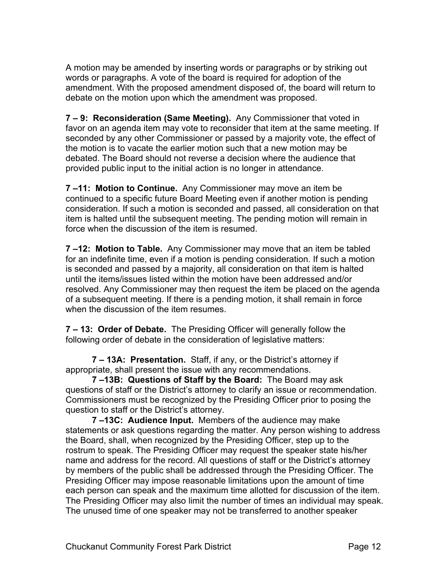A motion may be amended by inserting words or paragraphs or by striking out words or paragraphs. A vote of the board is required for adoption of the amendment. With the proposed amendment disposed of, the board will return to debate on the motion upon which the amendment was proposed.

**7 – 9: Reconsideration (Same Meeting).** Any Commissioner that voted in favor on an agenda item may vote to reconsider that item at the same meeting. If seconded by any other Commissioner or passed by a majority vote, the effect of the motion is to vacate the earlier motion such that a new motion may be debated. The Board should not reverse a decision where the audience that provided public input to the initial action is no longer in attendance.

**7 –11: Motion to Continue.** Any Commissioner may move an item be continued to a specific future Board Meeting even if another motion is pending consideration. If such a motion is seconded and passed, all consideration on that item is halted until the subsequent meeting. The pending motion will remain in force when the discussion of the item is resumed.

**7 –12: Motion to Table.** Any Commissioner may move that an item be tabled for an indefinite time, even if a motion is pending consideration. If such a motion is seconded and passed by a majority, all consideration on that item is halted until the items/issues listed within the motion have been addressed and/or resolved. Any Commissioner may then request the item be placed on the agenda of a subsequent meeting. If there is a pending motion, it shall remain in force when the discussion of the item resumes.

**7 – 13: Order of Debate.** The Presiding Officer will generally follow the following order of debate in the consideration of legislative matters:

**7 – 13A: Presentation.** Staff, if any, or the District's attorney if appropriate, shall present the issue with any recommendations.

**7 –13B: Questions of Staff by the Board:** The Board may ask questions of staff or the District's attorney to clarify an issue or recommendation. Commissioners must be recognized by the Presiding Officer prior to posing the question to staff or the District's attorney.

**7 –13C: Audience Input.** Members of the audience may make statements or ask questions regarding the matter. Any person wishing to address the Board, shall, when recognized by the Presiding Officer, step up to the rostrum to speak. The Presiding Officer may request the speaker state his/her name and address for the record. All questions of staff or the District's attorney by members of the public shall be addressed through the Presiding Officer. The Presiding Officer may impose reasonable limitations upon the amount of time each person can speak and the maximum time allotted for discussion of the item. The Presiding Officer may also limit the number of times an individual may speak. The unused time of one speaker may not be transferred to another speaker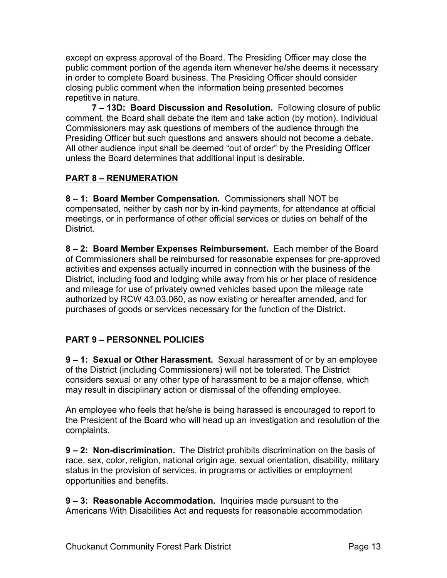except on express approval of the Board. The Presiding Officer may close the public comment portion of the agenda item whenever he/she deems it necessary in order to complete Board business. The Presiding Officer should consider closing public comment when the information being presented becomes repetitive in nature.

**7 – 13D: Board Discussion and Resolution.** Following closure of public comment, the Board shall debate the item and take action (by motion). Individual Commissioners may ask questions of members of the audience through the Presiding Officer but such questions and answers should not become a debate. All other audience input shall be deemed "out of order" by the Presiding Officer unless the Board determines that additional input is desirable.

## **PART 8 – RENUMERATION**

**8 – 1: Board Member Compensation.** Commissioners shall NOT be compensated, neither by cash nor by in-kind payments, for attendance at official meetings, or in performance of other official services or duties on behalf of the **District.** 

**8 – 2: Board Member Expenses Reimbursement.** Each member of the Board of Commissioners shall be reimbursed for reasonable expenses for pre-approved activities and expenses actually incurred in connection with the business of the District, including food and lodging while away from his or her place of residence and mileage for use of privately owned vehicles based upon the mileage rate authorized by RCW 43.03.060, as now existing or hereafter amended, and for purchases of goods or services necessary for the function of the District.

## **PART 9 – PERSONNEL POLICIES**

**9 – 1: Sexual or Other Harassment.** Sexual harassment of or by an employee of the District (including Commissioners) will not be tolerated. The District considers sexual or any other type of harassment to be a major offense, which may result in disciplinary action or dismissal of the offending employee.

An employee who feels that he/she is being harassed is encouraged to report to the President of the Board who will head up an investigation and resolution of the complaints.

**9 – 2: Non-discrimination.** The District prohibits discrimination on the basis of race, sex, color, religion, national origin age, sexual orientation, disability, military status in the provision of services, in programs or activities or employment opportunities and benefits.

**9 – 3: Reasonable Accommodation.** Inquiries made pursuant to the Americans With Disabilities Act and requests for reasonable accommodation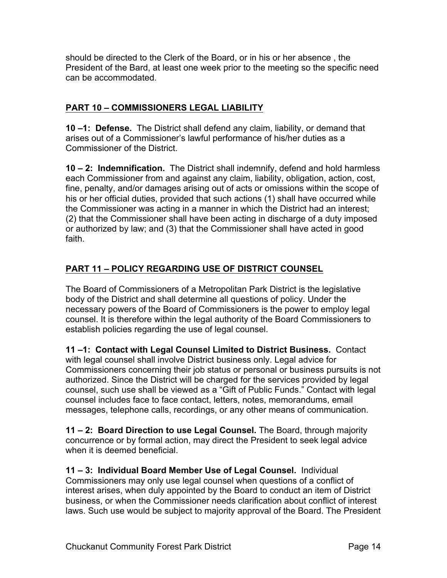should be directed to the Clerk of the Board, or in his or her absence , the President of the Bard, at least one week prior to the meeting so the specific need can be accommodated.

## **PART 10 – COMMISSIONERS LEGAL LIABILITY**

**10 –1: Defense.** The District shall defend any claim, liability, or demand that arises out of a Commissioner's lawful performance of his/her duties as a Commissioner of the District.

**10 – 2: Indemnification.** The District shall indemnify, defend and hold harmless each Commissioner from and against any claim, liability, obligation, action, cost, fine, penalty, and/or damages arising out of acts or omissions within the scope of his or her official duties, provided that such actions (1) shall have occurred while the Commissioner was acting in a manner in which the District had an interest; (2) that the Commissioner shall have been acting in discharge of a duty imposed or authorized by law; and (3) that the Commissioner shall have acted in good faith.

## **PART 11 – POLICY REGARDING USE OF DISTRICT COUNSEL**

The Board of Commissioners of a Metropolitan Park District is the legislative body of the District and shall determine all questions of policy. Under the necessary powers of the Board of Commissioners is the power to employ legal counsel. It is therefore within the legal authority of the Board Commissioners to establish policies regarding the use of legal counsel.

**11 –1: Contact with Legal Counsel Limited to District Business.** Contact with legal counsel shall involve District business only. Legal advice for Commissioners concerning their job status or personal or business pursuits is not authorized. Since the District will be charged for the services provided by legal counsel, such use shall be viewed as a "Gift of Public Funds." Contact with legal counsel includes face to face contact, letters, notes, memorandums, email messages, telephone calls, recordings, or any other means of communication.

**11 – 2: Board Direction to use Legal Counsel.** The Board, through majority concurrence or by formal action, may direct the President to seek legal advice when it is deemed beneficial.

**11 – 3: Individual Board Member Use of Legal Counsel.** Individual Commissioners may only use legal counsel when questions of a conflict of interest arises, when duly appointed by the Board to conduct an item of District business, or when the Commissioner needs clarification about conflict of interest laws. Such use would be subject to majority approval of the Board. The President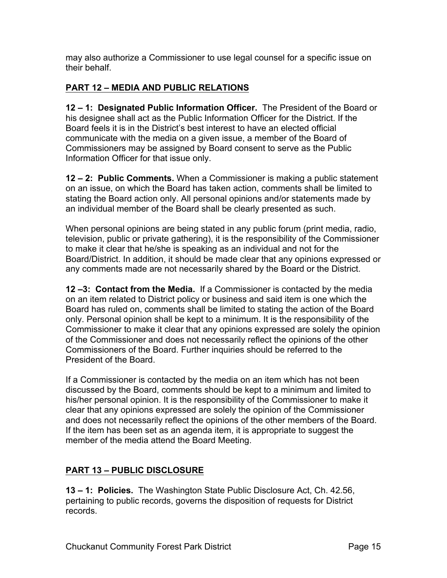may also authorize a Commissioner to use legal counsel for a specific issue on their behalf.

#### **PART 12 – MEDIA AND PUBLIC RELATIONS**

**12 – 1: Designated Public Information Officer.** The President of the Board or his designee shall act as the Public Information Officer for the District. If the Board feels it is in the District's best interest to have an elected official communicate with the media on a given issue, a member of the Board of Commissioners may be assigned by Board consent to serve as the Public Information Officer for that issue only.

**12 – 2: Public Comments.** When a Commissioner is making a public statement on an issue, on which the Board has taken action, comments shall be limited to stating the Board action only. All personal opinions and/or statements made by an individual member of the Board shall be clearly presented as such.

When personal opinions are being stated in any public forum (print media, radio, television, public or private gathering), it is the responsibility of the Commissioner to make it clear that he/she is speaking as an individual and not for the Board/District. In addition, it should be made clear that any opinions expressed or any comments made are not necessarily shared by the Board or the District.

**12 –3: Contact from the Media.** If a Commissioner is contacted by the media on an item related to District policy or business and said item is one which the Board has ruled on, comments shall be limited to stating the action of the Board only. Personal opinion shall be kept to a minimum. It is the responsibility of the Commissioner to make it clear that any opinions expressed are solely the opinion of the Commissioner and does not necessarily reflect the opinions of the other Commissioners of the Board. Further inquiries should be referred to the President of the Board.

If a Commissioner is contacted by the media on an item which has not been discussed by the Board, comments should be kept to a minimum and limited to his/her personal opinion. It is the responsibility of the Commissioner to make it clear that any opinions expressed are solely the opinion of the Commissioner and does not necessarily reflect the opinions of the other members of the Board. If the item has been set as an agenda item, it is appropriate to suggest the member of the media attend the Board Meeting.

#### **PART 13 – PUBLIC DISCLOSURE**

**13 – 1: Policies.** The Washington State Public Disclosure Act, Ch. 42.56, pertaining to public records, governs the disposition of requests for District records.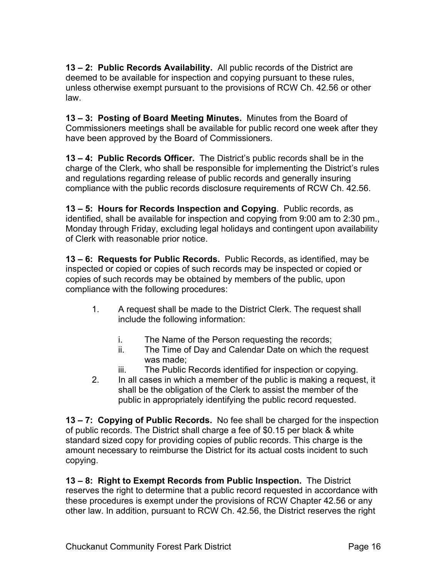**13 – 2: Public Records Availability.** All public records of the District are deemed to be available for inspection and copying pursuant to these rules, unless otherwise exempt pursuant to the provisions of RCW Ch. 42.56 or other law.

**13 – 3: Posting of Board Meeting Minutes.** Minutes from the Board of Commissioners meetings shall be available for public record one week after they have been approved by the Board of Commissioners.

**13 – 4: Public Records Officer.** The District's public records shall be in the charge of the Clerk, who shall be responsible for implementing the District's rules and regulations regarding release of public records and generally insuring compliance with the public records disclosure requirements of RCW Ch. 42.56.

**13 – 5: Hours for Records Inspection and Copying**. Public records, as identified, shall be available for inspection and copying from 9:00 am to 2:30 pm., Monday through Friday, excluding legal holidays and contingent upon availability of Clerk with reasonable prior notice.

**13 – 6: Requests for Public Records.** Public Records, as identified, may be inspected or copied or copies of such records may be inspected or copied or copies of such records may be obtained by members of the public, upon compliance with the following procedures:

- 1. A request shall be made to the District Clerk. The request shall include the following information:
	- i. The Name of the Person requesting the records;
	- ii. The Time of Day and Calendar Date on which the request was made;
	- iii. The Public Records identified for inspection or copying.
- 2. In all cases in which a member of the public is making a request, it shall be the obligation of the Clerk to assist the member of the public in appropriately identifying the public record requested.

**13 – 7: Copying of Public Records.** No fee shall be charged for the inspection of public records. The District shall charge a fee of \$0.15 per black & white standard sized copy for providing copies of public records. This charge is the amount necessary to reimburse the District for its actual costs incident to such copying.

**13 – 8: Right to Exempt Records from Public Inspection.** The District reserves the right to determine that a public record requested in accordance with these procedures is exempt under the provisions of RCW Chapter 42.56 or any other law. In addition, pursuant to RCW Ch. 42.56, the District reserves the right